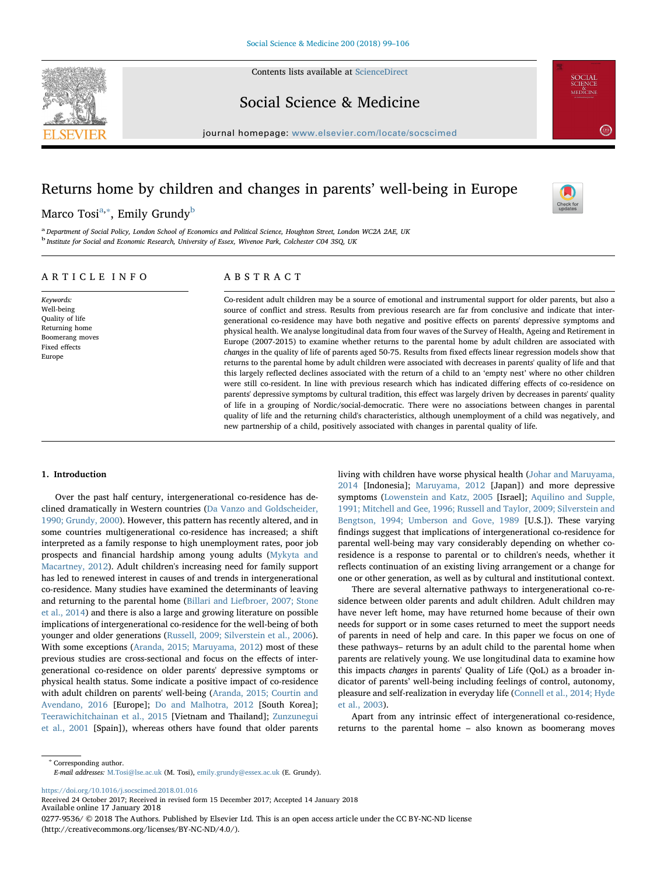Contents lists available at [ScienceDirect](http://www.sciencedirect.com/science/journal/02779536)



Social Science & Medicine

journal homepage: [www.elsevier.com/locate/socscimed](https://www.elsevier.com/locate/socscimed)

# Returns home by children and changes in parents' well-being in Europe



<span id="page-0-2"></span><span id="page-0-0"></span>a Department of Social Policy, London School of Economics and Political Science, Houghton Street, London WC2A 2AE, UK <sup>b</sup> Institute for Social and Economic Research, University of Essex, Wivenoe Park, Colchester C04 3SQ, UK

# ARTICLE INFO

Keywords: Well-being Quality of life Returning home Boomerang moves Fixed effects Europe

# ABSTRACT

Co-resident adult children may be a source of emotional and instrumental support for older parents, but also a source of conflict and stress. Results from previous research are far from conclusive and indicate that intergenerational co-residence may have both negative and positive effects on parents' depressive symptoms and physical health. We analyse longitudinal data from four waves of the Survey of Health, Ageing and Retirement in Europe (2007-2015) to examine whether returns to the parental home by adult children are associated with changes in the quality of life of parents aged 50-75. Results from fixed effects linear regression models show that returns to the parental home by adult children were associated with decreases in parents' quality of life and that this largely reflected declines associated with the return of a child to an 'empty nest' where no other children were still co-resident. In line with previous research which has indicated differing effects of co-residence on parents' depressive symptoms by cultural tradition, this effect was largely driven by decreases in parents' quality of life in a grouping of Nordic/social-democratic. There were no associations between changes in parental quality of life and the returning child's characteristics, although unemployment of a child was negatively, and new partnership of a child, positively associated with changes in parental quality of life.

#### 1. Introduction

Over the past half century, intergenerational co-residence has declined dramatically in Western countries ([Da Vanzo and Goldscheider,](#page-6-0) [1990; Grundy, 2000](#page-6-0)). However, this pattern has recently altered, and in some countries multigenerational co-residence has increased; a shift interpreted as a family response to high unemployment rates, poor job prospects and financial hardship among young adults ([Mykyta and](#page-6-1) [Macartney, 2012\)](#page-6-1). Adult children's increasing need for family support has led to renewed interest in causes of and trends in intergenerational co-residence. Many studies have examined the determinants of leaving and returning to the parental home [\(Billari and Liefbroer, 2007; Stone](#page-6-2) [et al., 2014](#page-6-2)) and there is also a large and growing literature on possible implications of intergenerational co-residence for the well-being of both younger and older generations ([Russell, 2009; Silverstein et al., 2006](#page-6-3)). With some exceptions [\(Aranda, 2015; Maruyama, 2012](#page-6-4)) most of these previous studies are cross-sectional and focus on the effects of intergenerational co-residence on older parents' depressive symptoms or physical health status. Some indicate a positive impact of co-residence with adult children on parents' well-being ([Aranda, 2015; Courtin and](#page-6-4) [Avendano, 2016](#page-6-4) [Europe]; [Do and Malhotra, 2012](#page-6-5) [South Korea]; [Teerawichitchainan et al., 2015](#page-6-6) [Vietnam and Thailand]; [Zunzunegui](#page-7-0) [et al., 2001](#page-7-0) [Spain]), whereas others have found that older parents living with children have worse physical health ([Johar and Maruyama,](#page-6-7) [2014](#page-6-7) [Indonesia]; [Maruyama, 2012](#page-6-8) [Japan]) and more depressive symptoms [\(Lowenstein and Katz, 2005](#page-6-9) [Israel]; [Aquilino and Supple,](#page-6-10) [1991; Mitchell and Gee, 1996; Russell and Taylor, 2009; Silverstein and](#page-6-10) [Bengtson, 1994; Umberson and Gove, 1989](#page-6-10) [U.S.]). These varying findings suggest that implications of intergenerational co-residence for parental well-being may vary considerably depending on whether coresidence is a response to parental or to children's needs, whether it reflects continuation of an existing living arrangement or a change for one or other generation, as well as by cultural and institutional context.

Check for<br>updates

SOCIAL<br>SCIENCE<br>MEDICINE

 $\left( \frac{2.814}{2.814} \right)$ 

There are several alternative pathways to intergenerational co-residence between older parents and adult children. Adult children may have never left home, may have returned home because of their own needs for support or in some cases returned to meet the support needs of parents in need of help and care. In this paper we focus on one of these pathways– returns by an adult child to the parental home when parents are relatively young. We use longitudinal data to examine how this impacts changes in parents' Quality of Life (QoL) as a broader indicator of parents' well-being including feelings of control, autonomy, pleasure and self-realization in everyday life ([Connell et al., 2014; Hyde](#page-6-11) [et al., 2003](#page-6-11)).

Apart from any intrinsic effect of intergenerational co-residence, returns to the parental home – also known as boomerang moves

<span id="page-0-1"></span><sup>∗</sup> Corresponding author.

E-mail addresses: [M.Tosi@lse.ac.uk](mailto:M.Tosi@lse.ac.uk) (M. Tosi), [emily.grundy@essex.ac.uk](mailto:emily.grundy@essex.ac.uk) (E. Grundy).

<https://doi.org/10.1016/j.socscimed.2018.01.016>

Received 24 October 2017; Received in revised form 15 December 2017; Accepted 14 January 2018 Available online 17 January 2018

0277-9536/ © 2018 The Authors. Published by Elsevier Ltd. This is an open access article under the CC BY-NC-ND license (http://creativecommons.org/licenses/BY-NC-ND/4.0/).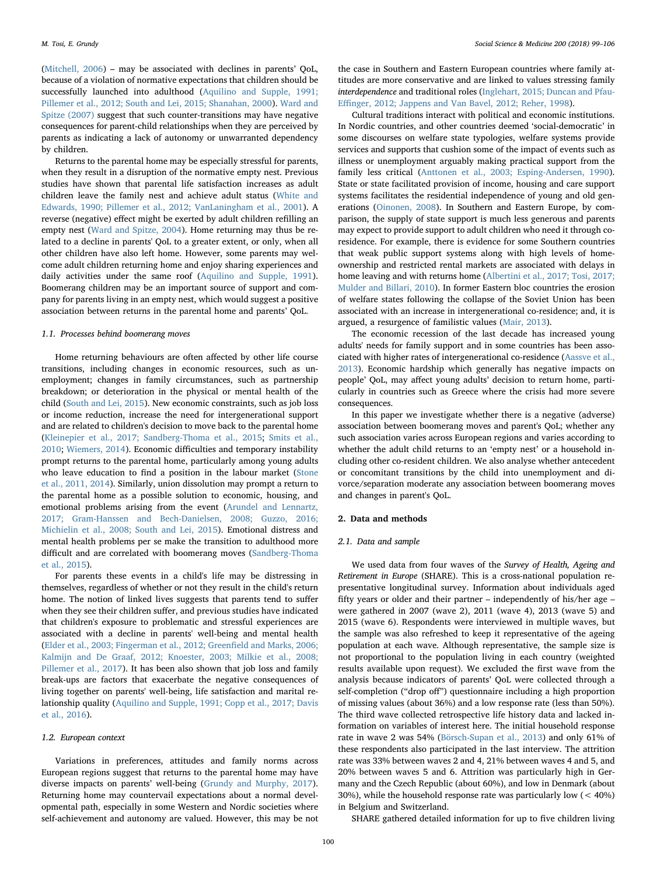([Mitchell, 2006](#page-6-12)) – may be associated with declines in parents' QoL, because of a violation of normative expectations that children should be successfully launched into adulthood [\(Aquilino and Supple, 1991;](#page-6-10) [Pillemer et al., 2012; South and Lei, 2015; Shanahan, 2000\)](#page-6-10). [Ward and](#page-6-13) [Spitze \(2007\)](#page-6-13) suggest that such counter-transitions may have negative consequences for parent-child relationships when they are perceived by parents as indicating a lack of autonomy or unwarranted dependency by children.

Returns to the parental home may be especially stressful for parents, when they result in a disruption of the normative empty nest. Previous studies have shown that parental life satisfaction increases as adult children leave the family nest and achieve adult status ([White and](#page-7-1) [Edwards, 1990; Pillemer et al., 2012; VanLaningham et al., 2001\)](#page-7-1). A reverse (negative) effect might be exerted by adult children refilling an empty nest ([Ward and Spitze, 2004\)](#page-6-14). Home returning may thus be related to a decline in parents' QoL to a greater extent, or only, when all other children have also left home. However, some parents may welcome adult children returning home and enjoy sharing experiences and daily activities under the same roof ([Aquilino and Supple, 1991](#page-6-10)). Boomerang children may be an important source of support and company for parents living in an empty nest, which would suggest a positive association between returns in the parental home and parents' QoL.

## 1.1. Processes behind boomerang moves

Home returning behaviours are often affected by other life course transitions, including changes in economic resources, such as unemployment; changes in family circumstances, such as partnership breakdown; or deterioration in the physical or mental health of the child [\(South and Lei, 2015\)](#page-6-15). New economic constraints, such as job loss or income reduction, increase the need for intergenerational support and are related to children's decision to move back to the parental home ([Kleinepier et al., 2017; Sandberg-Thoma et al., 2015;](#page-6-16) [Smits et al.,](#page-6-17) [2010;](#page-6-17) [Wiemers, 2014\)](#page-7-2). Economic difficulties and temporary instability prompt returns to the parental home, particularly among young adults who leave education to find a position in the labour market [\(Stone](#page-6-18) [et al., 2011, 2014\)](#page-6-18). Similarly, union dissolution may prompt a return to the parental home as a possible solution to economic, housing, and emotional problems arising from the event ([Arundel and Lennartz,](#page-6-19) [2017; Gram-Hanssen and Bech-Danielsen, 2008; Guzzo, 2016;](#page-6-19) [Michielin et al., 2008; South and Lei, 2015](#page-6-19)). Emotional distress and mental health problems per se make the transition to adulthood more difficult and are correlated with boomerang moves ([Sandberg-Thoma](#page-6-20) [et al., 2015](#page-6-20)).

For parents these events in a child's life may be distressing in themselves, regardless of whether or not they result in the child's return home. The notion of linked lives suggests that parents tend to suffer when they see their children suffer, and previous studies have indicated that children's exposure to problematic and stressful experiences are associated with a decline in parents' well-being and mental health ([Elder et al., 2003; Fingerman et al., 2012; Green](#page-6-21)field and Marks, 2006; [Kalmijn and De Graaf, 2012; Knoester, 2003; Milkie et al., 2008;](#page-6-21) [Pillemer et al., 2017\)](#page-6-21). It has been also shown that job loss and family break-ups are factors that exacerbate the negative consequences of living together on parents' well-being, life satisfaction and marital relationship quality ([Aquilino and Supple, 1991; Copp et al., 2017; Davis](#page-6-10) [et al., 2016](#page-6-10)).

# 1.2. European context

Variations in preferences, attitudes and family norms across European regions suggest that returns to the parental home may have diverse impacts on parents' well-being ([Grundy and Murphy, 2017](#page-6-22)). Returning home may countervail expectations about a normal developmental path, especially in some Western and Nordic societies where self-achievement and autonomy are valued. However, this may be not

the case in Southern and Eastern European countries where family attitudes are more conservative and are linked to values stressing family interdependence and traditional roles [\(Inglehart, 2015; Duncan and Pfau-](#page-6-23)Effi[nger, 2012; Jappens and Van Bavel, 2012; Reher, 1998](#page-6-23)).

Cultural traditions interact with political and economic institutions. In Nordic countries, and other countries deemed 'social-democratic' in some discourses on welfare state typologies, welfare systems provide services and supports that cushion some of the impact of events such as illness or unemployment arguably making practical support from the family less critical ([Anttonen et al., 2003; Esping-Andersen, 1990](#page-6-24)). State or state facilitated provision of income, housing and care support systems facilitates the residential independence of young and old generations [\(Oinonen, 2008](#page-6-25)). In Southern and Eastern Europe, by comparison, the supply of state support is much less generous and parents may expect to provide support to adult children who need it through coresidence. For example, there is evidence for some Southern countries that weak public support systems along with high levels of homeownership and restricted rental markets are associated with delays in home leaving and with returns home [\(Albertini et al., 2017; Tosi, 2017;](#page-6-26) [Mulder and Billari, 2010](#page-6-26)). In former Eastern bloc countries the erosion of welfare states following the collapse of the Soviet Union has been associated with an increase in intergenerational co-residence; and, it is argued, a resurgence of familistic values [\(Mair, 2013](#page-6-27)).

The economic recession of the last decade has increased young adults' needs for family support and in some countries has been associated with higher rates of intergenerational co-residence [\(Aassve et al.,](#page-6-28) [2013\)](#page-6-28). Economic hardship which generally has negative impacts on people' QoL, may affect young adults' decision to return home, particularly in countries such as Greece where the crisis had more severe consequences.

In this paper we investigate whether there is a negative (adverse) association between boomerang moves and parent's QoL; whether any such association varies across European regions and varies according to whether the adult child returns to an 'empty nest' or a household including other co-resident children. We also analyse whether antecedent or concomitant transitions by the child into unemployment and divorce/separation moderate any association between boomerang moves and changes in parent's QoL.

#### 2. Data and methods

#### 2.1. Data and sample

We used data from four waves of the Survey of Health, Ageing and Retirement in Europe (SHARE). This is a cross-national population representative longitudinal survey. Information about individuals aged fifty years or older and their partner – independently of his/her age – were gathered in 2007 (wave 2), 2011 (wave 4), 2013 (wave 5) and 2015 (wave 6). Respondents were interviewed in multiple waves, but the sample was also refreshed to keep it representative of the ageing population at each wave. Although representative, the sample size is not proportional to the population living in each country (weighted results available upon request). We excluded the first wave from the analysis because indicators of parents' QoL were collected through a self-completion ("drop off") questionnaire including a high proportion of missing values (about 36%) and a low response rate (less than 50%). The third wave collected retrospective life history data and lacked information on variables of interest here. The initial household response rate in wave 2 was 54% ([Börsch-Supan et al., 2013\)](#page-6-29) and only 61% of these respondents also participated in the last interview. The attrition rate was 33% between waves 2 and 4, 21% between waves 4 and 5, and 20% between waves 5 and 6. Attrition was particularly high in Germany and the Czech Republic (about 60%), and low in Denmark (about 30%), while the household response rate was particularly low (< 40%) in Belgium and Switzerland.

SHARE gathered detailed information for up to five children living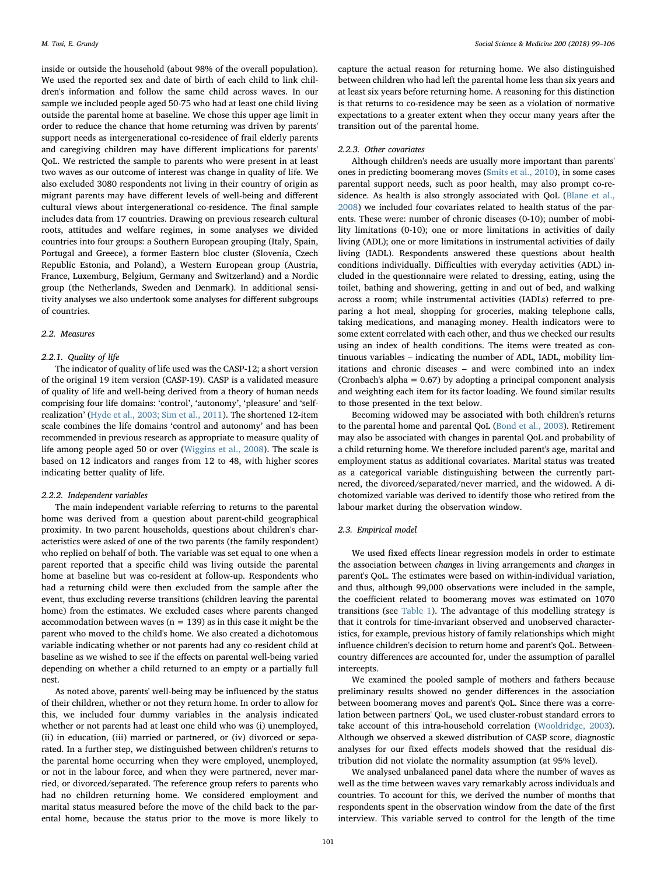inside or outside the household (about 98% of the overall population). We used the reported sex and date of birth of each child to link children's information and follow the same child across waves. In our sample we included people aged 50-75 who had at least one child living outside the parental home at baseline. We chose this upper age limit in order to reduce the chance that home returning was driven by parents' support needs as intergenerational co-residence of frail elderly parents and caregiving children may have different implications for parents' QoL. We restricted the sample to parents who were present in at least two waves as our outcome of interest was change in quality of life. We also excluded 3080 respondents not living in their country of origin as migrant parents may have different levels of well-being and different cultural views about intergenerational co-residence. The final sample includes data from 17 countries. Drawing on previous research cultural roots, attitudes and welfare regimes, in some analyses we divided countries into four groups: a Southern European grouping (Italy, Spain, Portugal and Greece), a former Eastern bloc cluster (Slovenia, Czech Republic Estonia, and Poland), a Western European group (Austria, France, Luxemburg, Belgium, Germany and Switzerland) and a Nordic group (the Netherlands, Sweden and Denmark). In additional sensitivity analyses we also undertook some analyses for different subgroups of countries.

#### 2.2. Measures

#### 2.2.1. Quality of life

The indicator of quality of life used was the CASP-12; a short version of the original 19 item version (CASP-19). CASP is a validated measure of quality of life and well-being derived from a theory of human needs comprising four life domains: 'control', 'autonomy', 'pleasure' and 'selfrealization' [\(Hyde et al., 2003; Sim et al., 2011\)](#page-6-30). The shortened 12-item scale combines the life domains 'control and autonomy' and has been recommended in previous research as appropriate to measure quality of life among people aged 50 or over [\(Wiggins et al., 2008](#page-7-3)). The scale is based on 12 indicators and ranges from 12 to 48, with higher scores indicating better quality of life.

## 2.2.2. Independent variables

The main independent variable referring to returns to the parental home was derived from a question about parent-child geographical proximity. In two parent households, questions about children's characteristics were asked of one of the two parents (the family respondent) who replied on behalf of both. The variable was set equal to one when a parent reported that a specific child was living outside the parental home at baseline but was co-resident at follow-up. Respondents who had a returning child were then excluded from the sample after the event, thus excluding reverse transitions (children leaving the parental home) from the estimates. We excluded cases where parents changed accommodation between waves ( $n = 139$ ) as in this case it might be the parent who moved to the child's home. We also created a dichotomous variable indicating whether or not parents had any co-resident child at baseline as we wished to see if the effects on parental well-being varied depending on whether a child returned to an empty or a partially full nest.

As noted above, parents' well-being may be influenced by the status of their children, whether or not they return home. In order to allow for this, we included four dummy variables in the analysis indicated whether or not parents had at least one child who was (i) unemployed, (ii) in education, (iii) married or partnered, or (iv) divorced or separated. In a further step, we distinguished between children's returns to the parental home occurring when they were employed, unemployed, or not in the labour force, and when they were partnered, never married, or divorced/separated. The reference group refers to parents who had no children returning home. We considered employment and marital status measured before the move of the child back to the parental home, because the status prior to the move is more likely to

capture the actual reason for returning home. We also distinguished between children who had left the parental home less than six years and at least six years before returning home. A reasoning for this distinction is that returns to co-residence may be seen as a violation of normative expectations to a greater extent when they occur many years after the transition out of the parental home.

## 2.2.3. Other covariates

Although children's needs are usually more important than parents' ones in predicting boomerang moves [\(Smits et al., 2010\)](#page-6-17), in some cases parental support needs, such as poor health, may also prompt co-residence. As health is also strongly associated with QoL ([Blane et al.,](#page-6-31) [2008\)](#page-6-31) we included four covariates related to health status of the parents. These were: number of chronic diseases (0-10); number of mobility limitations (0-10); one or more limitations in activities of daily living (ADL); one or more limitations in instrumental activities of daily living (IADL). Respondents answered these questions about health conditions individually. Difficulties with everyday activities (ADL) included in the questionnaire were related to dressing, eating, using the toilet, bathing and showering, getting in and out of bed, and walking across a room; while instrumental activities (IADLs) referred to preparing a hot meal, shopping for groceries, making telephone calls, taking medications, and managing money. Health indicators were to some extent correlated with each other, and thus we checked our results using an index of health conditions. The items were treated as continuous variables – indicating the number of ADL, IADL, mobility limitations and chronic diseases – and were combined into an index (Cronbach's alpha = 0.67) by adopting a principal component analysis and weighting each item for its factor loading. We found similar results to those presented in the text below.

Becoming widowed may be associated with both children's returns to the parental home and parental QoL [\(Bond et al., 2003\)](#page-6-32). Retirement may also be associated with changes in parental QoL and probability of a child returning home. We therefore included parent's age, marital and employment status as additional covariates. Marital status was treated as a categorical variable distinguishing between the currently partnered, the divorced/separated/never married, and the widowed. A dichotomized variable was derived to identify those who retired from the labour market during the observation window.

#### 2.3. Empirical model

We used fixed effects linear regression models in order to estimate the association between changes in living arrangements and changes in parent's QoL. The estimates were based on within-individual variation, and thus, although 99,000 observations were included in the sample, the coefficient related to boomerang moves was estimated on 1070 transitions (see [Table 1](#page-3-0)). The advantage of this modelling strategy is that it controls for time-invariant observed and unobserved characteristics, for example, previous history of family relationships which might influence children's decision to return home and parent's QoL. Betweencountry differences are accounted for, under the assumption of parallel intercepts.

We examined the pooled sample of mothers and fathers because preliminary results showed no gender differences in the association between boomerang moves and parent's QoL. Since there was a correlation between partners' QoL, we used cluster-robust standard errors to take account of this intra-household correlation ([Wooldridge, 2003](#page-7-4)). Although we observed a skewed distribution of CASP score, diagnostic analyses for our fixed effects models showed that the residual distribution did not violate the normality assumption (at 95% level).

We analysed unbalanced panel data where the number of waves as well as the time between waves vary remarkably across individuals and countries. To account for this, we derived the number of months that respondents spent in the observation window from the date of the first interview. This variable served to control for the length of the time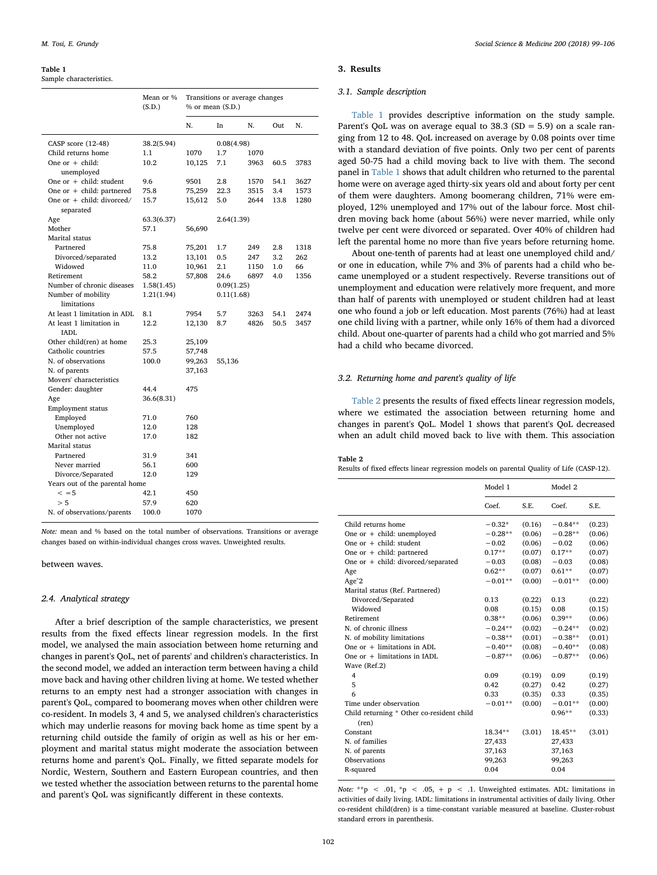#### <span id="page-3-0"></span>Table 1

Sample characteristics.

|                                          | Mean or %<br>(S.D.) | Transitions or average changes<br>% or mean (S.D.) |            |      |      |      |  |  |
|------------------------------------------|---------------------|----------------------------------------------------|------------|------|------|------|--|--|
|                                          |                     | N.                                                 | In         | N.   | Out  | N.   |  |  |
| CASP score (12-48)                       | 38.2(5.94)          |                                                    | 0.08(4.98) |      |      |      |  |  |
| Child returns home                       | 1.1                 | 1070                                               | 1.7        | 1070 |      |      |  |  |
| One or $+$ child:<br>unemployed          | 10.2                | 10,125                                             | 7.1        | 3963 | 60.5 | 3783 |  |  |
| One or $+$ child: student                | 9.6                 | 9501                                               | 2.8        | 1570 | 54.1 | 3627 |  |  |
| One or $+$ child: partnered              | 75.8                | 75,259                                             | 22.3       | 3515 | 3.4  | 1573 |  |  |
| One or $+$ child: divorced/<br>separated | 15.7                | 15,612                                             | 5.0        | 2644 | 13.8 | 1280 |  |  |
| Age                                      | 63.3(6.37)          |                                                    | 2.64(1.39) |      |      |      |  |  |
| Mother                                   | 57.1                | 56,690                                             |            |      |      |      |  |  |
| Marital status                           |                     |                                                    |            |      |      |      |  |  |
| Partnered                                | 75.8                | 75,201                                             | 1.7        | 249  | 2.8  | 1318 |  |  |
| Divorced/separated                       | 13.2                | 13,101                                             | 0.5        | 247  | 3.2  | 262  |  |  |
| Widowed                                  | 11.0                | 10,961                                             | 2.1        | 1150 | 1.0  | 66   |  |  |
| Retirement                               | 58.2                | 57,808                                             | 24.6       | 6897 | 4.0  | 1356 |  |  |
| Number of chronic diseases               | 1.58(1.45)          |                                                    | 0.09(1.25) |      |      |      |  |  |
| Number of mobility<br>limitations        | 1.21(1.94)          |                                                    | 0.11(1.68) |      |      |      |  |  |
| At least 1 limitation in ADL             | 8.1                 | 7954                                               | 5.7        | 3263 | 54.1 | 2474 |  |  |
| At least 1 limitation in                 | 12.2                | 12,130                                             | 8.7        | 4826 | 50.5 | 3457 |  |  |
| <b>IADL</b>                              |                     |                                                    |            |      |      |      |  |  |
| Other child(ren) at home                 | 25.3                | 25,109                                             |            |      |      |      |  |  |
| Catholic countries                       | 57.5                | 57,748                                             |            |      |      |      |  |  |
| N. of observations                       | 100.0               | 99,263                                             | 55,136     |      |      |      |  |  |
| N. of parents                            |                     | 37,163                                             |            |      |      |      |  |  |
| Movers' characteristics                  |                     |                                                    |            |      |      |      |  |  |
| Gender: daughter                         | 44.4                | 475                                                |            |      |      |      |  |  |
| Age                                      | 36.6(8.31)          |                                                    |            |      |      |      |  |  |
| <b>Employment status</b>                 |                     |                                                    |            |      |      |      |  |  |
| Employed                                 | 71.0                | 760                                                |            |      |      |      |  |  |
| Unemployed                               | 12.0                | 128                                                |            |      |      |      |  |  |
| Other not active                         | 17.0                | 182                                                |            |      |      |      |  |  |
| Marital status                           |                     |                                                    |            |      |      |      |  |  |
| Partnered                                | 31.9                | 341                                                |            |      |      |      |  |  |
| Never married                            | 56.1                | 600                                                |            |      |      |      |  |  |
| Divorce/Separated                        | 12.0                | 129                                                |            |      |      |      |  |  |
| Years out of the parental home           |                     |                                                    |            |      |      |      |  |  |
| $\leq$ = 5                               | 42.1                | 450                                                |            |      |      |      |  |  |
| > 5                                      | 57.9                | 620                                                |            |      |      |      |  |  |
| N. of observations/parents               | 100.0               | 1070                                               |            |      |      |      |  |  |
|                                          |                     |                                                    |            |      |      |      |  |  |

Note: mean and % based on the total number of observations. Transitions or average changes based on within-individual changes cross waves. Unweighted results.

#### between waves.

#### 2.4. Analytical strategy

After a brief description of the sample characteristics, we present results from the fixed effects linear regression models. In the first model, we analysed the main association between home returning and changes in parent's QoL, net of parents' and children's characteristics. In the second model, we added an interaction term between having a child move back and having other children living at home. We tested whether returns to an empty nest had a stronger association with changes in parent's QoL, compared to boomerang moves when other children were co-resident. In models 3, 4 and 5, we analysed children's characteristics which may underlie reasons for moving back home as time spent by a returning child outside the family of origin as well as his or her employment and marital status might moderate the association between returns home and parent's QoL. Finally, we fitted separate models for Nordic, Western, Southern and Eastern European countries, and then we tested whether the association between returns to the parental home and parent's QoL was significantly different in these contexts.

# 3. Results

## 3.1. Sample description

[Table 1](#page-3-0) provides descriptive information on the study sample. Parent's QoL was on average equal to  $38.3$  (SD = 5.9) on a scale ranging from 12 to 48. QoL increased on average by 0.08 points over time with a standard deviation of five points. Only two per cent of parents aged 50-75 had a child moving back to live with them. The second panel in [Table 1](#page-3-0) shows that adult children who returned to the parental home were on average aged thirty-six years old and about forty per cent of them were daughters. Among boomerang children, 71% were employed, 12% unemployed and 17% out of the labour force. Most children moving back home (about 56%) were never married, while only twelve per cent were divorced or separated. Over 40% of children had left the parental home no more than five years before returning home.

About one-tenth of parents had at least one unemployed child and/ or one in education, while 7% and 3% of parents had a child who became unemployed or a student respectively. Reverse transitions out of unemployment and education were relatively more frequent, and more than half of parents with unemployed or student children had at least one who found a job or left education. Most parents (76%) had at least one child living with a partner, while only 16% of them had a divorced child. About one-quarter of parents had a child who got married and 5% had a child who became divorced.

## 3.2. Returning home and parent's quality of life

[Table 2](#page-3-1) presents the results of fixed effects linear regression models, where we estimated the association between returning home and changes in parent's QoL. Model 1 shows that parent's QoL decreased when an adult child moved back to live with them. This association

#### <span id="page-3-1"></span>Table 2

Results of fixed effects linear regression models on parental Quality of Life (CASP-12).

|                                           | Model 1   |        | Model 2   |        |
|-------------------------------------------|-----------|--------|-----------|--------|
|                                           | Coef.     | S.E.   | Coef.     | S.E.   |
| Child returns home                        | $-0.32*$  | (0.16) | $-0.84**$ | (0.23) |
| One or $+$ child: unemployed              | $-0.28**$ | (0.06) | $-0.28**$ | (0.06) |
| One or $+$ child: student                 | $-0.02$   | (0.06) | $-0.02$   | (0.06) |
| One or $+$ child: partnered               | $0.17**$  | (0.07) | $0.17**$  | (0.07) |
| One or $+$ child: divorced/separated      | $-0.03$   | (0.08) | $-0.03$   | (0.08) |
| Age                                       | $0.62**$  | (0.07) | $0.61**$  | (0.07) |
| Age <sup>2</sup>                          | $-0.01**$ | (0.00) | $-0.01**$ | (0.00) |
| Marital status (Ref. Partnered)           |           |        |           |        |
| Divorced/Separated                        | 0.13      | (0.22) | 0.13      | (0.22) |
| Widowed                                   | 0.08      | (0.15) | 0.08      | (0.15) |
| Retirement                                | $0.38**$  | (0.06) | $0.39**$  | (0.06) |
| N. of chronic illness                     | $-0.24**$ | (0.02) | $-0.24**$ | (0.02) |
| N. of mobility limitations                | $-0.38**$ | (0.01) | $-0.38**$ | (0.01) |
| One or $+$ limitations in ADL.            | $-0.40**$ | (0.08) | $-0.40**$ | (0.08) |
| One or $+$ limitations in IADL            | $-0.87**$ | (0.06) | $-0.87**$ | (0.06) |
| Wave (Ref.2)                              |           |        |           |        |
| 4                                         | 0.09      | (0.19) | 0.09      | (0.19) |
| 5                                         | 0.42      | (0.27) | 0.42      | (0.27) |
| 6                                         | 0.33      | (0.35) | 0.33      | (0.35) |
| Time under observation                    | $-0.01**$ | (0.00) | $-0.01**$ | (0.00) |
| Child returning * Other co-resident child |           |        | $0.96**$  | (0.33) |
| (ren)                                     |           |        |           |        |
| Constant                                  | 18.34**   | (3.01) | 18.45**   | (3.01) |
| N. of families                            | 27,433    |        | 27,433    |        |
| N. of parents                             | 37,163    |        | 37,163    |        |
| Observations                              | 99,263    |        | 99,263    |        |
| R-squared                                 | 0.04      |        | 0.04      |        |
|                                           |           |        |           |        |

Note: \*\*p < .01, \*p < .05, + p < .1. Unweighted estimates. ADL: limitations in activities of daily living. IADL: limitations in instrumental activities of daily living. Other co-resident child(dren) is a time-constant variable measured at baseline. Cluster-robust standard errors in parenthesis.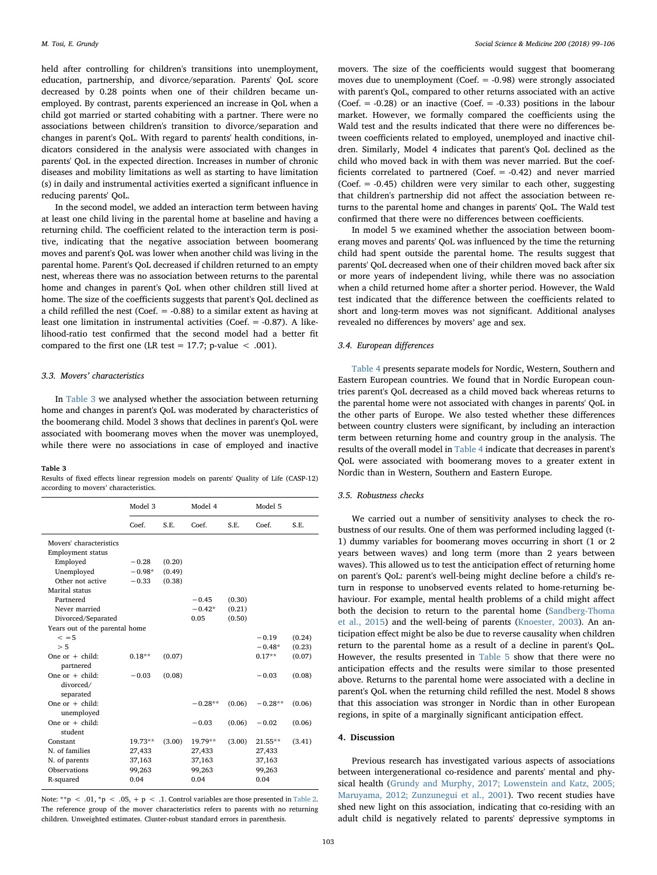held after controlling for children's transitions into unemployment, education, partnership, and divorce/separation. Parents' QoL score decreased by 0.28 points when one of their children became unemployed. By contrast, parents experienced an increase in QoL when a child got married or started cohabiting with a partner. There were no associations between children's transition to divorce/separation and changes in parent's QoL. With regard to parents' health conditions, indicators considered in the analysis were associated with changes in parents' QoL in the expected direction. Increases in number of chronic diseases and mobility limitations as well as starting to have limitation (s) in daily and instrumental activities exerted a significant influence in reducing parents' QoL.

In the second model, we added an interaction term between having at least one child living in the parental home at baseline and having a returning child. The coefficient related to the interaction term is positive, indicating that the negative association between boomerang moves and parent's QoL was lower when another child was living in the parental home. Parent's QoL decreased if children returned to an empty nest, whereas there was no association between returns to the parental home and changes in parent's QoL when other children still lived at home. The size of the coefficients suggests that parent's QoL declined as a child refilled the nest (Coef. = -0.88) to a similar extent as having at least one limitation in instrumental activities (Coef. = -0.87). A likelihood-ratio test confirmed that the second model had a better fit compared to the first one (LR test = 17.7; p-value  $\langle$  .001).

#### 3.3. Movers' characteristics

In [Table 3](#page-4-0) we analysed whether the association between returning home and changes in parent's QoL was moderated by characteristics of the boomerang child. Model 3 shows that declines in parent's QoL were associated with boomerang moves when the mover was unemployed, while there were no associations in case of employed and inactive

#### <span id="page-4-0"></span>Table 3

Results of fixed effects linear regression models on parents' Quality of Life (CASP-12) according to movers' characteristics.

|                                | Model 3  |        | Model 4   |        | Model 5   |        |
|--------------------------------|----------|--------|-----------|--------|-----------|--------|
|                                | Coef.    | S.E.   | Coef.     | S.E.   | Coef.     | S.E.   |
| Movers' characteristics        |          |        |           |        |           |        |
| <b>Employment status</b>       |          |        |           |        |           |        |
| Employed                       | $-0.28$  | (0.20) |           |        |           |        |
| Unemployed                     | $-0.98*$ | (0.49) |           |        |           |        |
| Other not active               | $-0.33$  | (0.38) |           |        |           |        |
| Marital status                 |          |        |           |        |           |        |
| Partnered                      |          |        | $-0.45$   | (0.30) |           |        |
| Never married                  |          |        | $-0.42*$  | (0.21) |           |        |
| Divorced/Separated             |          |        | 0.05      | (0.50) |           |        |
| Years out of the parental home |          |        |           |        |           |        |
| $\leq$ = 5                     |          |        |           |        | $-0.19$   | (0.24) |
| > 5                            |          |        |           |        | $-0.48*$  | (0.23) |
| One or $+$ child:              | $0.18**$ | (0.07) |           |        | $0.17**$  | (0.07) |
| partnered                      |          |        |           |        |           |        |
| One or $+$ child:              | $-0.03$  | (0.08) |           |        | $-0.03$   | (0.08) |
| divorced/                      |          |        |           |        |           |        |
| separated                      |          |        |           |        |           |        |
| One or $+$ child:              |          |        | $-0.28**$ | (0.06) | $-0.28**$ | (0.06) |
| unemployed                     |          |        |           |        |           |        |
| One or $+$ child:              |          |        | $-0.03$   | (0.06) | $-0.02$   | (0.06) |
| student                        |          |        |           |        |           |        |
| Constant                       | 19.73**  | (3.00) | 19.79**   | (3.00) | $21.55**$ | (3.41) |
| N. of families                 | 27,433   |        | 27,433    |        | 27,433    |        |
| N. of parents                  | 37,163   |        | 37,163    |        | 37,163    |        |
| Observations                   | 99,263   |        | 99,263    |        | 99,263    |        |
| R-squared                      | 0.04     |        | 0.04      |        | 0.04      |        |

Note: \*\*p < .01, \*p < .05, + p < .1. Control variables are those presented in [Table 2.](#page-3-1) The reference group of the mover characteristics refers to parents with no returning children. Unweighted estimates. Cluster-robust standard errors in parenthesis.

movers. The size of the coefficients would suggest that boomerang moves due to unemployment (Coef. = -0.98) were strongly associated with parent's QoL, compared to other returns associated with an active (Coef.  $= -0.28$ ) or an inactive (Coef.  $= -0.33$ ) positions in the labour market. However, we formally compared the coefficients using the Wald test and the results indicated that there were no differences between coefficients related to employed, unemployed and inactive children. Similarly, Model 4 indicates that parent's QoL declined as the child who moved back in with them was never married. But the coefficients correlated to partnered  $(Coef. = -0.42)$  and never married  $(Coef. = -0.45)$  children were very similar to each other, suggesting that children's partnership did not affect the association between returns to the parental home and changes in parents' QoL. The Wald test confirmed that there were no differences between coefficients.

In model 5 we examined whether the association between boomerang moves and parents' QoL was influenced by the time the returning child had spent outside the parental home. The results suggest that parents' QoL decreased when one of their children moved back after six or more years of independent living, while there was no association when a child returned home after a shorter period. However, the Wald test indicated that the difference between the coefficients related to short and long-term moves was not significant. Additional analyses revealed no differences by movers' age and sex.

# 3.4. European differences

[Table 4](#page-5-0) presents separate models for Nordic, Western, Southern and Eastern European countries. We found that in Nordic European countries parent's QoL decreased as a child moved back whereas returns to the parental home were not associated with changes in parents' QoL in the other parts of Europe. We also tested whether these differences between country clusters were significant, by including an interaction term between returning home and country group in the analysis. The results of the overall model in [Table 4](#page-5-0) indicate that decreases in parent's QoL were associated with boomerang moves to a greater extent in Nordic than in Western, Southern and Eastern Europe.

## 3.5. Robustness checks

We carried out a number of sensitivity analyses to check the robustness of our results. One of them was performed including lagged (t-1) dummy variables for boomerang moves occurring in short (1 or 2 years between waves) and long term (more than 2 years between waves). This allowed us to test the anticipation effect of returning home on parent's QoL: parent's well-being might decline before a child's return in response to unobserved events related to home-returning behaviour. For example, mental health problems of a child might affect both the decision to return to the parental home ([Sandberg-Thoma](#page-6-20) [et al., 2015](#page-6-20)) and the well-being of parents [\(Knoester, 2003](#page-6-33)). An anticipation effect might be also be due to reverse causality when children return to the parental home as a result of a decline in parent's QoL. However, the results presented in [Table 5](#page-5-1) show that there were no anticipation effects and the results were similar to those presented above. Returns to the parental home were associated with a decline in parent's QoL when the returning child refilled the nest. Model 8 shows that this association was stronger in Nordic than in other European regions, in spite of a marginally significant anticipation effect.

# 4. Discussion

Previous research has investigated various aspects of associations between intergenerational co-residence and parents' mental and physical health [\(Grundy and Murphy, 2017; Lowenstein and Katz, 2005;](#page-6-22) [Maruyama, 2012; Zunzunegui et al., 2001\)](#page-6-22). Two recent studies have shed new light on this association, indicating that co-residing with an adult child is negatively related to parents' depressive symptoms in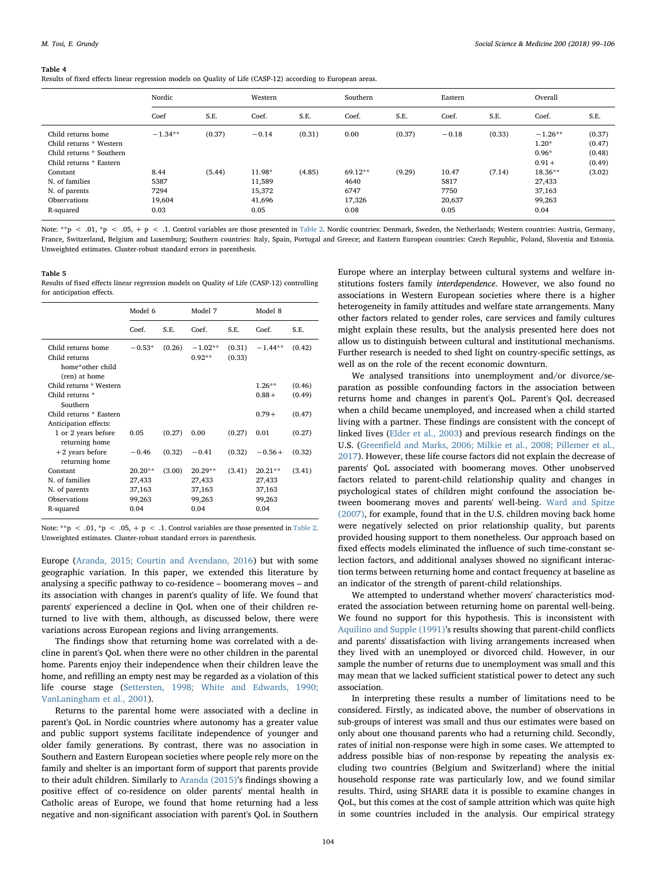#### <span id="page-5-0"></span>Table 4

Results of fixed effects linear regression models on Quality of Life (CASP-12) according to European areas.

|                                                                                                                                                                                  | Nordic                                              |                  | Western                                                 |                  | Southern                                          |                  | Eastern                                            |                  | Overall                                                                                      |                                                |
|----------------------------------------------------------------------------------------------------------------------------------------------------------------------------------|-----------------------------------------------------|------------------|---------------------------------------------------------|------------------|---------------------------------------------------|------------------|----------------------------------------------------|------------------|----------------------------------------------------------------------------------------------|------------------------------------------------|
|                                                                                                                                                                                  | Coef                                                | S.E.             | Coef.                                                   | S.E.             | Coef.                                             | S.E.             | Coef.                                              | S.E.             | Coef.                                                                                        | S.E.                                           |
| Child returns home<br>Child returns * Western<br>Child returns * Southern<br>Child returns * Eastern<br>Constant<br>N. of families<br>N. of parents<br>Observations<br>R-squared | $-1.34**$<br>8.44<br>5387<br>7294<br>19,604<br>0.03 | (0.37)<br>(5.44) | $-0.14$<br>11.98*<br>11,589<br>15,372<br>41.696<br>0.05 | (0.31)<br>(4.85) | 0.00<br>69.12**<br>4640<br>6747<br>17,326<br>0.08 | (0.37)<br>(9.29) | $-0.18$<br>10.47<br>5817<br>7750<br>20,637<br>0.05 | (0.33)<br>(7.14) | $-1.26**$<br>$1.20*$<br>$0.96*$<br>$0.91 +$<br>18.36**<br>27,433<br>37,163<br>99,263<br>0.04 | (0.37)<br>(0.47)<br>(0.48)<br>(0.49)<br>(3.02) |

Note: \*\*p < .01, \*p < .05, + p < .1. Control variables are those presented in [Table 2.](#page-3-1) Nordic countries: Denmark, Sweden, the Netherlands; Western countries: Austria, Germany, France, Switzerland, Belgium and Luxemburg; Southern countries: Italy, Spain, Portugal and Greece; and Eastern European countries: Czech Republic, Poland, Slovenia and Estonia. Unweighted estimates. Cluster-robust standard errors in parenthesis.

#### <span id="page-5-1"></span>Table 5

Results of fixed effects linear regression models on Quality of Life (CASP-12) controlling for anticipation effects.

|                                                                          | Model 6   |        | Model 7               |                  | Model 8              |                  |
|--------------------------------------------------------------------------|-----------|--------|-----------------------|------------------|----------------------|------------------|
|                                                                          | Coef.     | S.E.   | Coef.                 | S.E.             | Coef.                | S.E.             |
| Child returns home<br>Child returns<br>home*other child<br>(ren) at home | $-0.53*$  | (0.26) | $-1.02**$<br>$0.92**$ | (0.31)<br>(0.33) | $-1.44**$            | (0.42)           |
| Child returns * Western<br>Child returns *<br>Southern                   |           |        |                       |                  | $1.26**$<br>$0.88 +$ | (0.46)<br>(0.49) |
| Child returns * Eastern<br>Anticipation effects:                         |           |        |                       |                  | $0.79 +$             | (0.47)           |
| 1 or 2 years before<br>returning home                                    | 0.05      | (0.27) | 0.00                  | (0.27)           | 0.01                 | (0.27)           |
| $+2$ years before<br>returning home                                      | $-0.46$   | (0.32) | $-0.41$               | (0.32)           | $-0.56+$             | (0.32)           |
| Constant                                                                 | $20.20**$ | (3.00) | $20.29**$             | (3.41)           | $20.21**$            | (3.41)           |
| N. of families                                                           | 27,433    |        | 27,433                |                  | 27,433               |                  |
| N. of parents                                                            | 37,163    |        | 37,163                |                  | 37,163               |                  |
| Observations                                                             | 99,263    |        | 99,263                |                  | 99,263               |                  |
| R-squared                                                                | 0.04      |        | 0.04                  |                  | 0.04                 |                  |

Note: \*\*p < .01, \*p < .05, + p < .1. Control variables are those presented in [Table 2.](#page-3-1) Unweighted estimates. Cluster-robust standard errors in parenthesis.

Europe [\(Aranda, 2015; Courtin and Avendano, 2016\)](#page-6-4) but with some geographic variation. In this paper, we extended this literature by analysing a specific pathway to co-residence – boomerang moves – and its association with changes in parent's quality of life. We found that parents' experienced a decline in QoL when one of their children returned to live with them, although, as discussed below, there were variations across European regions and living arrangements.

The findings show that returning home was correlated with a decline in parent's QoL when there were no other children in the parental home. Parents enjoy their independence when their children leave the home, and refilling an empty nest may be regarded as a violation of this life course stage [\(Settersten, 1998; White and Edwards, 1990;](#page-6-34) [VanLaningham et al., 2001](#page-6-34)).

Returns to the parental home were associated with a decline in parent's QoL in Nordic countries where autonomy has a greater value and public support systems facilitate independence of younger and older family generations. By contrast, there was no association in Southern and Eastern European societies where people rely more on the family and shelter is an important form of support that parents provide to their adult children. Similarly to [Aranda \(2015\)](#page-6-4)'s findings showing a positive effect of co-residence on older parents' mental health in Catholic areas of Europe, we found that home returning had a less negative and non-significant association with parent's QoL in Southern

Europe where an interplay between cultural systems and welfare institutions fosters family interdependence. However, we also found no associations in Western European societies where there is a higher heterogeneity in family attitudes and welfare state arrangements. Many other factors related to gender roles, care services and family cultures might explain these results, but the analysis presented here does not allow us to distinguish between cultural and institutional mechanisms. Further research is needed to shed light on country-specific settings, as well as on the role of the recent economic downturn.

We analysed transitions into unemployment and/or divorce/separation as possible confounding factors in the association between returns home and changes in parent's QoL. Parent's QoL decreased when a child became unemployed, and increased when a child started living with a partner. These findings are consistent with the concept of linked lives [\(Elder et al., 2003](#page-6-21)) and previous research findings on the U.S. (Greenfi[eld and Marks, 2006; Milkie et al., 2008; Pillemer et al.,](#page-6-35) [2017\)](#page-6-35). However, these life course factors did not explain the decrease of parents' QoL associated with boomerang moves. Other unobserved factors related to parent-child relationship quality and changes in psychological states of children might confound the association between boomerang moves and parents' well-being. [Ward and Spitze](#page-6-13) [\(2007\),](#page-6-13) for example, found that in the U.S. children moving back home were negatively selected on prior relationship quality, but parents provided housing support to them nonetheless. Our approach based on fixed effects models eliminated the influence of such time-constant selection factors, and additional analyses showed no significant interaction terms between returning home and contact frequency at baseline as an indicator of the strength of parent-child relationships.

We attempted to understand whether movers' characteristics moderated the association between returning home on parental well-being. We found no support for this hypothesis. This is inconsistent with [Aquilino and Supple \(1991\)](#page-6-10)'s results showing that parent-child conflicts and parents' dissatisfaction with living arrangements increased when they lived with an unemployed or divorced child. However, in our sample the number of returns due to unemployment was small and this may mean that we lacked sufficient statistical power to detect any such association.

In interpreting these results a number of limitations need to be considered. Firstly, as indicated above, the number of observations in sub-groups of interest was small and thus our estimates were based on only about one thousand parents who had a returning child. Secondly, rates of initial non-response were high in some cases. We attempted to address possible bias of non-response by repeating the analysis excluding two countries (Belgium and Switzerland) where the initial household response rate was particularly low, and we found similar results. Third, using SHARE data it is possible to examine changes in QoL, but this comes at the cost of sample attrition which was quite high in some countries included in the analysis. Our empirical strategy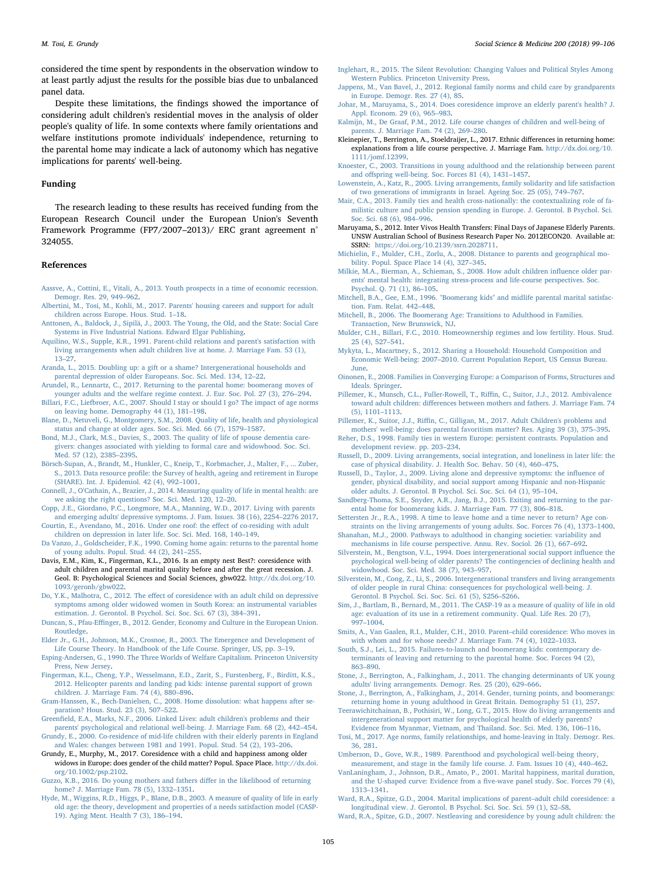considered the time spent by respondents in the observation window to at least partly adjust the results for the possible bias due to unbalanced panel data.

Despite these limitations, the findings showed the importance of considering adult children's residential moves in the analysis of older people's quality of life. In some contexts where family orientations and welfare institutions promote individuals' independence, returning to the parental home may indicate a lack of autonomy which has negative implications for parents' well-being.

# Funding

The research leading to these results has received funding from the European Research Council under the European Union's Seventh Framework Programme (FP7/2007–2013)/ ERC grant agreement n° 324055.

#### References

- <span id="page-6-28"></span>[Aassve, A., Cottini, E., Vitali, A., 2013. Youth prospects in a time of economic recession.](http://refhub.elsevier.com/S0277-9536(18)30016-9/sref1) [Demogr. Res. 29, 949](http://refhub.elsevier.com/S0277-9536(18)30016-9/sref1)–962.
- <span id="page-6-26"></span>[Albertini, M., Tosi, M., Kohli, M., 2017. Parents' housing careers and support for adult](http://refhub.elsevier.com/S0277-9536(18)30016-9/sref2) [children across Europe. Hous. Stud. 1](http://refhub.elsevier.com/S0277-9536(18)30016-9/sref2)–18.
- <span id="page-6-24"></span>[Anttonen, A., Baldock, J., Sipilä, J., 2003. The Young, the Old, and the State: Social Care](http://refhub.elsevier.com/S0277-9536(18)30016-9/sref5) [Systems in Five Industrial Nations. Edward Elgar Publishing](http://refhub.elsevier.com/S0277-9536(18)30016-9/sref5).
- <span id="page-6-10"></span>[Aquilino, W.S., Supple, K.R., 1991. Parent-child relations and parent's satisfaction with](http://refhub.elsevier.com/S0277-9536(18)30016-9/sref6) [living arrangements when adult children live at home. J. Marriage Fam. 53 \(1\),](http://refhub.elsevier.com/S0277-9536(18)30016-9/sref6) 13–[27](http://refhub.elsevier.com/S0277-9536(18)30016-9/sref6).
- <span id="page-6-4"></span>[Aranda, L., 2015. Doubling up: a gift or a shame? Intergenerational households and](http://refhub.elsevier.com/S0277-9536(18)30016-9/sref7) [parental depression of older Europeans. Soc. Sci. Med. 134, 12](http://refhub.elsevier.com/S0277-9536(18)30016-9/sref7)–22.
- <span id="page-6-19"></span>[Arundel, R., Lennartz, C., 2017. Returning to the parental home: boomerang moves of](http://refhub.elsevier.com/S0277-9536(18)30016-9/sref8) [younger adults and the welfare regime context. J. Eur. Soc. Pol. 27 \(3\), 276](http://refhub.elsevier.com/S0277-9536(18)30016-9/sref8)–294.
- <span id="page-6-2"></span>[Billari, F.C., Liefbroer, A.C., 2007. Should I stay or should I go? The impact of age norms](http://refhub.elsevier.com/S0277-9536(18)30016-9/sref9) [on leaving home. Demography 44 \(1\), 181](http://refhub.elsevier.com/S0277-9536(18)30016-9/sref9)–198.
- <span id="page-6-31"></span>[Blane, D., Netuveli, G., Montgomery, S.M., 2008. Quality of life, health and physiological](http://refhub.elsevier.com/S0277-9536(18)30016-9/sref10) [status and change at older ages. Soc. Sci. Med. 66 \(7\), 1579](http://refhub.elsevier.com/S0277-9536(18)30016-9/sref10)–1587.
- <span id="page-6-32"></span>[Bond, M.J., Clark, M.S., Davies, S., 2003. The quality of life of spouse dementia care](http://refhub.elsevier.com/S0277-9536(18)30016-9/sref11)[givers: changes associated with yielding to formal care and widowhood. Soc. Sci.](http://refhub.elsevier.com/S0277-9536(18)30016-9/sref11) [Med. 57 \(12\), 2385](http://refhub.elsevier.com/S0277-9536(18)30016-9/sref11)–2395.
- <span id="page-6-29"></span>[Börsch-Supan, A., Brandt, M., Hunkler, C., Kneip, T., Korbmacher, J., Malter, F., ... Zuber,](http://refhub.elsevier.com/S0277-9536(18)30016-9/sref12) S., 2013. Data resource profi[le: the Survey of health, ageing and retirement in Europe](http://refhub.elsevier.com/S0277-9536(18)30016-9/sref12) [\(SHARE\). Int. J. Epidemiol. 42 \(4\), 992](http://refhub.elsevier.com/S0277-9536(18)30016-9/sref12)–1001.
- <span id="page-6-11"></span>[Connell, J., O'Cathain, A., Brazier, J., 2014. Measuring quality of life in mental health: are](http://refhub.elsevier.com/S0277-9536(18)30016-9/sref13) [we asking the right questions? Soc. Sci. Med. 120, 12](http://refhub.elsevier.com/S0277-9536(18)30016-9/sref13)–20.
- [Copp, J.E., Giordano, P.C., Longmore, M.A., Manning, W.D., 2017. Living with parents](http://refhub.elsevier.com/S0277-9536(18)30016-9/sref14) [and emerging adults' depressive symptoms. J. Fam. Issues. 38 \(16\), 2254](http://refhub.elsevier.com/S0277-9536(18)30016-9/sref14)–2276 2017. [Courtin, E., Avendano, M., 2016. Under one roof: the e](http://refhub.elsevier.com/S0277-9536(18)30016-9/sref15)ffect of co-residing with adult
- <span id="page-6-0"></span>[children on depression in later life. Soc. Sci. Med. 168, 140](http://refhub.elsevier.com/S0277-9536(18)30016-9/sref15)–149. [Da Vanzo, J., Goldscheider, F.K., 1990. Coming home again: returns to the parental home](http://refhub.elsevier.com/S0277-9536(18)30016-9/sref16) [of young adults. Popul. Stud. 44 \(2\), 241](http://refhub.elsevier.com/S0277-9536(18)30016-9/sref16)–255.
- Davis, E.M., Kim, K., Fingerman, K.L., 2016. Is an empty nest Best?: coresidence with adult children and parental marital quality before and after the great recession. J. Geol. B: Psychological Sciences and Social Sciences, gbw022. [http://dx.doi.org/10.](http://dx.doi.org/10.1093/geronb/gbw022) [1093/geronb/gbw022](http://dx.doi.org/10.1093/geronb/gbw022).
- <span id="page-6-5"></span>Do, Y.K., Malhotra, C., 2012. The eff[ect of coresidence with an adult child on depressive](http://refhub.elsevier.com/S0277-9536(18)30016-9/sref18) [symptoms among older widowed women in South Korea: an instrumental variables](http://refhub.elsevier.com/S0277-9536(18)30016-9/sref18) [estimation. J. Gerontol. B Psychol. Sci. Soc. Sci. 67 \(3\), 384](http://refhub.elsevier.com/S0277-9536(18)30016-9/sref18)–391.
- Duncan, S., Pfau-Effi[nger, B., 2012. Gender, Economy and Culture in the European Union.](http://refhub.elsevier.com/S0277-9536(18)30016-9/sref19) [Routledge](http://refhub.elsevier.com/S0277-9536(18)30016-9/sref19).
- <span id="page-6-21"></span>[Elder Jr., G.H., Johnson, M.K., Crosnoe, R., 2003. The Emergence and Development of](http://refhub.elsevier.com/S0277-9536(18)30016-9/sref20) [Life Course Theory. In Handbook of the Life Course. Springer, US, pp. 3](http://refhub.elsevier.com/S0277-9536(18)30016-9/sref20)–19.
- [Esping-Andersen, G., 1990. The Three Worlds of Welfare Capitalism. Princeton University](http://refhub.elsevier.com/S0277-9536(18)30016-9/sref21) [Press, New Jersey](http://refhub.elsevier.com/S0277-9536(18)30016-9/sref21).
- [Fingerman, K.L., Cheng, Y.P., Wesselmann, E.D., Zarit, S., Furstenberg, F., Birditt, K.S.,](http://refhub.elsevier.com/S0277-9536(18)30016-9/sref22) 2012. [Helicopter parents and landing pad kids: intense parental support of grown](http://refhub.elsevier.com/S0277-9536(18)30016-9/sref22) [children. J. Marriage Fam. 74 \(4\), 880](http://refhub.elsevier.com/S0277-9536(18)30016-9/sref22)–896.
- [Gram-Hanssen, K., Bech-Danielsen, C., 2008. Home dissolution: what happens after se](http://refhub.elsevier.com/S0277-9536(18)30016-9/sref23)[paration? Hous. Stud. 23 \(3\), 507](http://refhub.elsevier.com/S0277-9536(18)30016-9/sref23)–522.
- <span id="page-6-35"></span>Greenfi[eld, E.A., Marks, N.F., 2006. Linked Lives: adult children's problems and their](http://refhub.elsevier.com/S0277-9536(18)30016-9/sref24)
- [parents' psychological and relational well-being. J. Marriage Fam. 68 \(2\), 442](http://refhub.elsevier.com/S0277-9536(18)30016-9/sref24)–454. [Grundy, E., 2000. Co-residence of mid-life children with their elderly parents in England](http://refhub.elsevier.com/S0277-9536(18)30016-9/sref1a) [and Wales: changes between 1981 and 1991. Popul. Stud. 54 \(2\), 193](http://refhub.elsevier.com/S0277-9536(18)30016-9/sref1a)–206.
- <span id="page-6-22"></span>Grundy, E., Murphy, M., 2017. Coresidence with a child and happiness among older widows in Europe: does gender of the child matter? Popul. Space Place. [http://dx.doi.](http://dx.doi.org/10.1002/psp.2102) [org/10.1002/psp.2102](http://dx.doi.org/10.1002/psp.2102).
- [Guzzo, K.B., 2016. Do young mothers and fathers di](http://refhub.elsevier.com/S0277-9536(18)30016-9/sref25)ffer in the likelihood of returning [home? J. Marriage Fam. 78 \(5\), 1332](http://refhub.elsevier.com/S0277-9536(18)30016-9/sref25)–1351.
- <span id="page-6-30"></span>[Hyde, M., Wiggins, R.D., Higgs, P., Blane, D.B., 2003. A measure of quality of life in early](http://refhub.elsevier.com/S0277-9536(18)30016-9/sref27) [old age: the theory, development and properties of a needs satisfaction model \(CASP-](http://refhub.elsevier.com/S0277-9536(18)30016-9/sref27)[19\). Aging Ment. Health 7 \(3\), 186](http://refhub.elsevier.com/S0277-9536(18)30016-9/sref27)–194.
- <span id="page-6-23"></span>[Inglehart, R., 2015. The Silent Revolution: Changing Values and Political Styles Among](http://refhub.elsevier.com/S0277-9536(18)30016-9/sref28) [Western Publics. Princeton University Press.](http://refhub.elsevier.com/S0277-9536(18)30016-9/sref28)
- [Jappens, M., Van Bavel, J., 2012. Regional family norms and child care by grandparents](http://refhub.elsevier.com/S0277-9536(18)30016-9/sref29) [in Europe. Demogr. Res. 27 \(4\), 85.](http://refhub.elsevier.com/S0277-9536(18)30016-9/sref29)
- <span id="page-6-7"></span>[Johar, M., Maruyama, S., 2014. Does coresidence improve an elderly parent's health? J.](http://refhub.elsevier.com/S0277-9536(18)30016-9/sref30) [Appl. Econom. 29 \(6\), 965](http://refhub.elsevier.com/S0277-9536(18)30016-9/sref30)–983.
- [Kalmijn, M., De Graaf, P.M., 2012. Life course changes of children and well-being of](http://refhub.elsevier.com/S0277-9536(18)30016-9/sref31) [parents. J. Marriage Fam. 74 \(2\), 269](http://refhub.elsevier.com/S0277-9536(18)30016-9/sref31)–280.
- <span id="page-6-16"></span>Kleinepier, T., Berrington, A., Stoeldraijer, L., 2017. Ethnic differences in returning home: explanations from a life course perspective. J. Marriage Fam. [http://dx.doi.org/10.](http://dx.doi.org/10.1111/jomf.12399) [1111/jomf.12399.](http://dx.doi.org/10.1111/jomf.12399)
- <span id="page-6-33"></span>[Knoester, C., 2003. Transitions in young adulthood and the relationship between parent](http://refhub.elsevier.com/S0277-9536(18)30016-9/sref33) and off[spring well-being. Soc. Forces 81 \(4\), 1431](http://refhub.elsevier.com/S0277-9536(18)30016-9/sref33)–1457.
- <span id="page-6-9"></span>[Lowenstein, A., Katz, R., 2005. Living arrangements, family solidarity and life satisfaction](http://refhub.elsevier.com/S0277-9536(18)30016-9/sref34) [of two generations of immigrants in Israel. Ageing Soc. 25 \(05\), 749](http://refhub.elsevier.com/S0277-9536(18)30016-9/sref34)–767.
- <span id="page-6-27"></span>[Mair, C.A., 2013. Family ties and health cross-nationally: the contextualizing role of fa](http://refhub.elsevier.com/S0277-9536(18)30016-9/sref35)[milistic culture and public pension spending in Europe. J. Gerontol. B Psychol. Sci.](http://refhub.elsevier.com/S0277-9536(18)30016-9/sref35) [Soc. Sci. 68 \(6\), 984](http://refhub.elsevier.com/S0277-9536(18)30016-9/sref35)–996.
- <span id="page-6-8"></span>Maruyama, S., 2012. Inter Vivos Health Transfers: Final Days of Japanese Elderly Parents. UNSW Australian School of Business Research Paper No. 2012ECON20. Available at: SSRN: [https://doi.org/10.2139/ssrn.2028711.](https://doi.org/10.2139/ssrn.2028711)
- [Michielin, F., Mulder, C.H., Zorlu, A., 2008. Distance to parents and geographical mo](http://refhub.elsevier.com/S0277-9536(18)30016-9/sref37)[bility. Popul. Space Place 14 \(4\), 327](http://refhub.elsevier.com/S0277-9536(18)30016-9/sref37)–345.
- [Milkie, M.A., Bierman, A., Schieman, S., 2008. How adult children in](http://refhub.elsevier.com/S0277-9536(18)30016-9/sref38)fluence older par[ents' mental health: integrating stress-process and life-course perspectives. Soc.](http://refhub.elsevier.com/S0277-9536(18)30016-9/sref38) [Psychol. Q. 71 \(1\), 86](http://refhub.elsevier.com/S0277-9536(18)30016-9/sref38)–105.
- [Mitchell, B.A., Gee, E.M., 1996. "Boomerang kids" and midlife parental marital satisfac](http://refhub.elsevier.com/S0277-9536(18)30016-9/sref39)[tion. Fam. Relat. 442](http://refhub.elsevier.com/S0277-9536(18)30016-9/sref39)–448.
- <span id="page-6-12"></span>Mitchell, [B., 2006. The Boomerang Age: Transitions to Adulthood in Families.](http://refhub.elsevier.com/S0277-9536(18)30016-9/sref67) [Transaction, New Brunswick, NJ](http://refhub.elsevier.com/S0277-9536(18)30016-9/sref67).
- [Mulder, C.H., Billari, F.C., 2010. Homeownership regimes and low fertility. Hous. Stud.](http://refhub.elsevier.com/S0277-9536(18)30016-9/sref40) [25 \(4\), 527](http://refhub.elsevier.com/S0277-9536(18)30016-9/sref40)–541.
- <span id="page-6-1"></span>[Mykyta, L., Macartney, S., 2012. Sharing a Household: Household Composition and](http://refhub.elsevier.com/S0277-9536(18)30016-9/sref41) Economic Well-being: 2007–[2010. Current Population Report, US Census Bureau.](http://refhub.elsevier.com/S0277-9536(18)30016-9/sref41) [June.](http://refhub.elsevier.com/S0277-9536(18)30016-9/sref41)
- <span id="page-6-25"></span>[Oinonen, E., 2008. Families in Converging Europe: a Comparison of Forms, Structures and](http://refhub.elsevier.com/S0277-9536(18)30016-9/sref42) [Ideals. Springer.](http://refhub.elsevier.com/S0277-9536(18)30016-9/sref42)
- [Pillemer, K., Munsch, C.L., Fuller-Rowell, T., Ri](http://refhub.elsevier.com/S0277-9536(18)30016-9/sref43)ffin, C., Suitor, J.J., 2012. Ambivalence toward adult children: diff[erences between mothers and fathers. J. Marriage Fam. 74](http://refhub.elsevier.com/S0277-9536(18)30016-9/sref43) [\(5\), 1101](http://refhub.elsevier.com/S0277-9536(18)30016-9/sref43)–1113.

Pillemer, K., Suitor, J.J., Riffi[n, C., Gilligan, M., 2017. Adult Children's problems and](http://refhub.elsevier.com/S0277-9536(18)30016-9/sref44) [mothers' well-being: does parental favoritism matter? Res. Aging 39 \(3\), 375](http://refhub.elsevier.com/S0277-9536(18)30016-9/sref44)–395.

- [Reher, D.S., 1998. Family ties in western Europe: persistent contrasts. Population and](http://refhub.elsevier.com/S0277-9536(18)30016-9/sref45) [development review. pp. 203](http://refhub.elsevier.com/S0277-9536(18)30016-9/sref45)–234.
- <span id="page-6-3"></span>[Russell, D., 2009. Living arrangements, social integration, and loneliness in later life: the](http://refhub.elsevier.com/S0277-9536(18)30016-9/sref46) [case of physical disability. J. Health Soc. Behav. 50 \(4\), 460](http://refhub.elsevier.com/S0277-9536(18)30016-9/sref46)–475.
- [Russell, D., Taylor, J., 2009. Living alone and depressive symptoms: the in](http://refhub.elsevier.com/S0277-9536(18)30016-9/sref47)fluence of [gender, physical disability, and social support among Hispanic and non-Hispanic](http://refhub.elsevier.com/S0277-9536(18)30016-9/sref47) [older adults. J. Gerontol. B Psychol. Sci. Soc. Sci. 64 \(1\), 95](http://refhub.elsevier.com/S0277-9536(18)30016-9/sref47)–104.
- <span id="page-6-20"></span>[Sandberg-Thoma, S.E., Snyder, A.R., Jang, B.J., 2015. Exiting and returning to the par](http://refhub.elsevier.com/S0277-9536(18)30016-9/sref48)[ental home for boomerang kids. J. Marriage Fam. 77 \(3\), 806](http://refhub.elsevier.com/S0277-9536(18)30016-9/sref48)–818.
- <span id="page-6-34"></span>[Settersten Jr., R.A., 1998. A time to leave home and a time never to return? Age con](http://refhub.elsevier.com/S0277-9536(18)30016-9/sref49)[straints on the living arrangements of young adults. Soc. Forces 76 \(4\), 1373](http://refhub.elsevier.com/S0277-9536(18)30016-9/sref49)–1400.

[Shanahan, M.J., 2000. Pathways to adulthood in changing societies: variability and](http://refhub.elsevier.com/S0277-9536(18)30016-9/sref50) [mechanisms in life course perspective. Annu. Rev. Sociol. 26 \(1\), 667](http://refhub.elsevier.com/S0277-9536(18)30016-9/sref50)–692.

- [Silverstein, M., Bengtson, V.L., 1994. Does intergenerational social support in](http://refhub.elsevier.com/S0277-9536(18)30016-9/sref51)fluence the [psychological well-being of older parents? The contingencies of declining health and](http://refhub.elsevier.com/S0277-9536(18)30016-9/sref51) [widowhood. Soc. Sci. Med. 38 \(7\), 943](http://refhub.elsevier.com/S0277-9536(18)30016-9/sref51)–957.
- [Silverstein, M., Cong, Z., Li, S., 2006. Intergenerational transfers and living arrangements](http://refhub.elsevier.com/S0277-9536(18)30016-9/sref52) [of older people in rural China: consequences for psychological well-being. J.](http://refhub.elsevier.com/S0277-9536(18)30016-9/sref52) [Gerontol. B Psychol. Sci. Soc. Sci. 61 \(5\), S256](http://refhub.elsevier.com/S0277-9536(18)30016-9/sref52)–S266.
- [Sim, J., Bartlam, B., Bernard, M., 2011. The CASP-19 as a measure of quality of life in old](http://refhub.elsevier.com/S0277-9536(18)30016-9/sref53) [age: evaluation of its use in a retirement community. Qual. Life Res. 20 \(7\),](http://refhub.elsevier.com/S0277-9536(18)30016-9/sref53) 997–[1004.](http://refhub.elsevier.com/S0277-9536(18)30016-9/sref53)
- <span id="page-6-17"></span>[Smits, A., Van Gaalen, R.I., Mulder, C.H., 2010. Parent](http://refhub.elsevier.com/S0277-9536(18)30016-9/sref68)–child coresidence: Who moves in [with whom and for whose needs? J. Marriage Fam. 74 \(4\), 1022](http://refhub.elsevier.com/S0277-9536(18)30016-9/sref68)–1033.
- <span id="page-6-15"></span>[South, S.J., Lei, L., 2015. Failures-to-launch and boomerang kids: contemporary de](http://refhub.elsevier.com/S0277-9536(18)30016-9/sref54)[terminants of leaving and returning to the parental home. Soc. Forces 94 \(2\),](http://refhub.elsevier.com/S0277-9536(18)30016-9/sref54) 863–[890](http://refhub.elsevier.com/S0277-9536(18)30016-9/sref54).
- <span id="page-6-18"></span>Stone, [J., Berrington, A., Falkingham, J., 2011. The changing determinants of UK young](http://refhub.elsevier.com/S0277-9536(18)30016-9/sref55) [adults' living arrangements. Demogr. Res. 25 \(20\), 629](http://refhub.elsevier.com/S0277-9536(18)30016-9/sref55)–666.
- [Stone, J., Berrington, A., Falkingham, J., 2014. Gender, turning points, and boomerangs:](http://refhub.elsevier.com/S0277-9536(18)30016-9/sref56) [returning home in young adulthood in Great Britain. Demography 51 \(1\), 257.](http://refhub.elsevier.com/S0277-9536(18)30016-9/sref56)
- <span id="page-6-6"></span>[Teerawichitchainan, B., Pothisiri, W., Long, G.T., 2015. How do living arrangements and](http://refhub.elsevier.com/S0277-9536(18)30016-9/sref57) [intergenerational support matter for psychological health of elderly parents?](http://refhub.elsevier.com/S0277-9536(18)30016-9/sref57) [Evidence from Myanmar, Vietnam, and Thailand. Soc. Sci. Med. 136, 106](http://refhub.elsevier.com/S0277-9536(18)30016-9/sref57)–116.
- [Tosi, M., 2017. Age norms, family relationships, and home-leaving in Italy. Demogr. Res.](http://refhub.elsevier.com/S0277-9536(18)30016-9/sref58) [36, 281](http://refhub.elsevier.com/S0277-9536(18)30016-9/sref58).
- [Umberson, D., Gove, W.R., 1989. Parenthood and psychological well-being theory,](http://refhub.elsevier.com/S0277-9536(18)30016-9/sref59) [measurement, and stage in the family life course. J. Fam. Issues 10 \(4\), 440](http://refhub.elsevier.com/S0277-9536(18)30016-9/sref59)–462.
- [VanLaningham, J., Johnson, D.R., Amato, P., 2001. Marital happiness, marital duration,](http://refhub.elsevier.com/S0277-9536(18)30016-9/sref3a) [and the U-shaped curve: Evidence from a](http://refhub.elsevier.com/S0277-9536(18)30016-9/sref3a) five-wave panel study. Soc. Forces 79 (4), 1313–[1341](http://refhub.elsevier.com/S0277-9536(18)30016-9/sref3a).
- <span id="page-6-14"></span>[Ward, R.A., Spitze, G.D., 2004. Marital implications of parent](http://refhub.elsevier.com/S0277-9536(18)30016-9/sref60)–adult child coresidence: a [longitudinal view. J. Gerontol. B Psychol. Sci. Soc. Sci. 59 \(1\), S2](http://refhub.elsevier.com/S0277-9536(18)30016-9/sref60)–S8.
- <span id="page-6-13"></span>[Ward, R.A., Spitze, G.D., 2007. Nestleaving and coresidence by young adult children: the](http://refhub.elsevier.com/S0277-9536(18)30016-9/sref61)